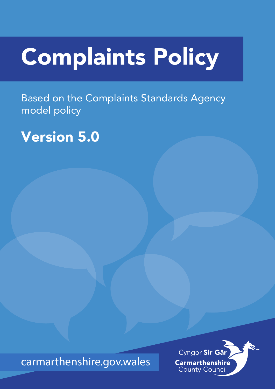# Complaints Policy

Based on the Complaints Standards Agency model policy

# Version 5.0

carmarthenshire.gov.wales

Cyngor Sir Gâr **Carmarthenshire County Council**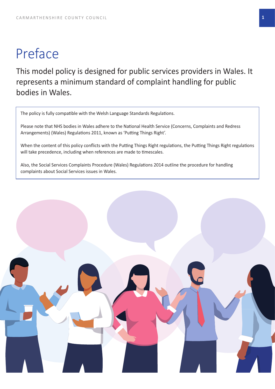# Preface

This model policy is designed for public services providers in Wales. It represents a minimum standard of complaint handling for public bodies in Wales.

The policy is fully compatible with the Welsh Language Standards Regulations.

Please note that NHS bodies in Wales adhere to the National Health Service (Concerns, Complaints and Redress Arrangements) (Wales) Regulations 2011, known as 'Putting Things Right'.

When the content of this policy conflicts with the Putting Things Right regulations, the Putting Things Right regulations will take precedence, including when references are made to timescales.

Also, the Social Services Complaints Procedure (Wales) Regulations 2014 outline the procedure for handling complaints about Social Services issues in Wales.

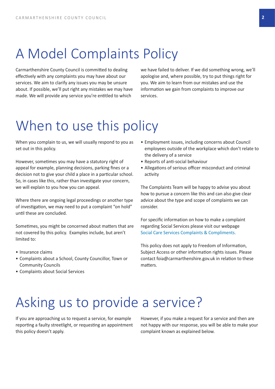# A Model Complaints Policy

Carmarthenshire County Council is committed to dealing effectively with any complaints you may have about our services. We aim to clarify any issues you may be unsure about. If possible, we'll put right any mistakes we may have made. We will provide any service you're entitled to which

we have failed to deliver. If we did something wrong, we'll apologise and, where possible, try to put things right for you. We aim to learn from our mistakes and use the information we gain from complaints to improve our services.

## When to use this policy

When you complain to us, we will usually respond to you as set out in this policy.

However, sometimes you may have a statutory right of appeal for example, planning decisions, parking fines or a decision not to give your child a place in a particular school. So, in cases like this, rather than investigate your concern, we will explain to you how you can appeal.

Where there are ongoing legal proceedings or another type of investigation, we may need to put a complaint "on hold" until these are concluded.

Sometimes, you might be concerned about matters that are not covered by this policy. Examples include, but aren't limited to:

- Insurance claims
- Complaints about a School, County Councillor, Town or Community Councils
- Complaints about Social Services
- Employment issues, including concerns about Council employees outside of the workplace which don't relate to the delivery of a service
- Reports of anti‐social behaviour
- Allegations of serious officer misconduct and criminal activity

The Complaints Team will be happy to advise you about how to pursue a concern like this and can also give clear advice about the type and scope of complaints we can consider.

For specific information on how to make a complaint regarding Social Services please visit our webpage Social Care Services Complaints & Compliments.

This policy does not apply to Freedom of Information, Subject Access or other information rights issues. Please [contact foia@carmarthenshire.gov.uk in relation t](https://www.carmarthenshire.gov.wales/home/council-services/social-care-health/social-care-services-complaints-compliments/#.YK9Tmy1Q1l2)o these matters.

# Asking us to provide a service?

If you are approaching us to request a service, for example reporting a faulty streetlight, or requesting an appointment this policy doesn't apply.

However, if you make a request for a service and then are not happy with our response, you will be able to make your complaint known as explained below.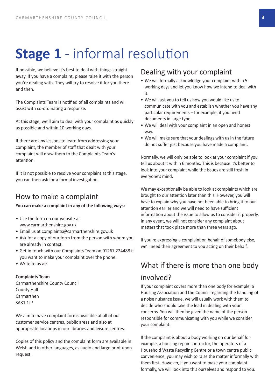# **Stage 1** - informal resolution

If possible, we believe it's best to deal with things straight away. If you have a complaint, please raise it with the person you're dealing with. They will try to resolve it for you there and then.

The Complaints Team is notified of all complaints and will assist with co‐ordinating a response.

At this stage, we'll aim to deal with your complaint as quickly as possible and within 10 working days.

If there are any lessons to learn from addressing your complaint, the member of staff that dealt with your complaint will draw them to the Complaints Team's attention.

If it is not possible to resolve your complaint at this stage, you can then ask for a formal investigation.

#### How to make a complaint

**You can make a complaint in any of the following ways:** 

- Use the form on our website at www.carmarthenshire.gov.uk
- Email us at complaints@carmarthenshire.gov.uk
- Ask for a copy of our form from the person with whom you are already in contact.
- [Get in touch with our Complaint](http://www.carmarthenshire.gov.uk)s Team on 01267 224488 if you want t[o make your complaint over the phone.](mailto:complaints@carmarthenshire.gov.uk)
- Write to us at:

#### **Complaints Team**

Carmarthenshire County Council County Hall Carmarthen SA31 1JP

We aim to have complaint forms available at all of our customer service centres, public areas and also at appropriate locations in our libraries and leisure centres.

Copies of this policy and the complaint form are available in Welsh and in other languages, as audio and large print upon request.

#### Dealing with your complaint

- We will formally acknowledge your complaint within 5 working days and let you know how we intend to deal with it.
- We will ask you to tell us how you would like us to communicate with you and establish whether you have any particular requirements – for example, if you need documents in large type.
- We will deal with your complaint in an open and honest way.
- We will make sure that your dealings with us in the future do not suffer just because you have made a complaint.

Normally, we will only be able to look at your complaint if you tell us about it within 6 months. This is because it's better to look into your complaint while the issues are still fresh in everyone's mind.

We may exceptionally be able to look at complaints which are brought to our attention later than this. However, you will have to explain why you have not been able to bring it to our attention earlier and we will need to have sufficient information about the issue to allow us to consider it properly. In any event, we will not consider any complaint about matters that took place more than three years ago.

If you're expressing a complaint on behalf of somebody else, we'll need their agreement to you acting on their behalf.

#### What if there is more than one body involved?

If your complaint covers more than one body for example, a Housing Association and the Council regarding the handling of a noise nuisance issue, we will usually work with them to decide who should take the lead in dealing with your concerns. You will then be given the name of the person responsible for communicating with you while we consider your complaint.

If the complaint is about a body working on our behalf for example, a housing repair contractor, the operators of a Household Waste Recycling Centre or a town centre public convenience, you may wish to raise the matter informally with them first. However, if you want to make your complaint formally, we will look into this ourselves and respond to you.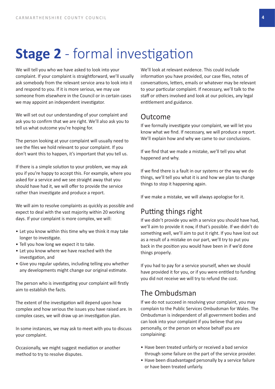# **Stage 2** - formal investigation

We will tell you who we have asked to look into your complaint. If your complaint is straightforward, we'll usually ask somebody from the relevant service area to look into it and respond to you. If it is more serious, we may use someone from elsewhere in the Council or in certain cases we may appoint an independent investigator.

We will set out our understanding of your complaint and ask you to confirm that we are right. We'll also ask you to tell us what outcome you're hoping for.

The person looking at your complaint will usually need to see the files we hold relevant to your complaint. If you don't want this to happen, it's important that you tell us.

If there is a simple solution to your problem, we may ask you if you're happy to accept this. For example, where you asked for a service and we see straight away that you should have had it, we will offer to provide the service rather than investigate and produce a report.

We will aim to resolve complaints as quickly as possible and expect to deal with the vast majority within 20 working days. If your complaint is more complex, we will:

- Let you know within this time why we think it may take longer to investigate.
- Tell you how long we expect it to take.
- Let you know where we have reached with the investigation, and
- Give you regular updates, including telling you whether any developments might change our original estimate.

The person who is investigating your complaint will firstly aim to establish the facts.

The extent of the investigation will depend upon how complex and how serious the issues you have raised are. In complex cases, we will draw up an investigation plan.

In some instances, we may ask to meet with you to discuss your complaint.

Occasionally, we might suggest mediation or another method to try to resolve disputes.

We'll look at relevant evidence. This could include information you have provided, our case files, notes of conversations, letters, emails or whatever may be relevant to your particular complaint. If necessary, we'll talk to the staff or others involved and look at our policies, any legal entitlement and guidance.

#### Outcome

If we formally investigate your complaint, we will let you know what we find. If necessary, we will produce a report. We'll explain how and why we came to our conclusions.

If we find that we made a mistake, we'll tell you what happened and why.

If we find there is a fault in our systems or the way we do things, we'll tell you what it is and how we plan to change things to stop it happening again.

If we make a mistake, we will always apologise for it.

#### Putting things right

If we didn't provide you with a service you should have had, we'll aim to provide it now, if that's possible. If we didn't do something well, we'll aim to put it right. If you have lost out as a result of a mistake on our part, we'll try to put you back in the position you would have been in if we'd done things properly.

If you had to pay for a service yourself, when we should have provided it for you, or if you were entitled to funding you did not receive we will try to refund the cost.

#### The Ombudsman

If we do not succeed in resolving your complaint, you may complain to the Public Services Ombudsman for Wales. The Ombudsman is independent of all government bodies and can look into your complaint if you believe that you personally, or the person on whose behalf you are complaining:

- Have been treated unfairly or received a bad service through some failure on the part of the service provider.
- Have been disadvantaged personally by a service failure or have been treated unfairly.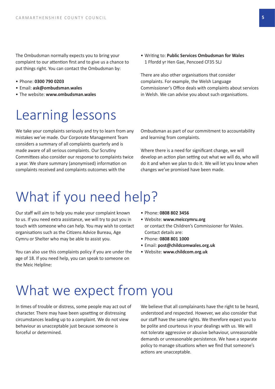The Ombudsman normally expects you to bring your complaint to our attention first and to give us a chance to put things right. You can contact the Ombudsman by:

- Phone: **0300 790 0203**
- Email: **ask@ombudsman.wales**
- The website: **www.ombudsman.wales**

### Le[arning le](mailto:ask@ombudsman.wales)[sso](http://www.ombudsman.wales)ns

We take your complaints seriously and try to learn from any mistakes we've made. Our Corporate Management Team considers a summary of all complaints quarterly and is made aware of all serious complaints. Our Scrutiny Committees also consider our response to complaints twice a year. We share summary (anonymised) information on complaints received and complaints outcomes with the

• Writing to: **Public Services Ombudsman for Wales** 1 Ffordd yr Hen Gae, Pencoed CF35 5LJ

There are also other organisations that consider complaints. For example, the Welsh Language Commissioner's Office deals with complaints about services in Welsh. We can advise you about such organisations.

Ombudsman as part of our commitment to accountability and learning from complaints.

Where there is a need for significant change, we will develop an action plan setting out what we will do, who will do it and when we plan to do it. We will let you know when changes we've promised have been made.

# What if you need help?

Our staff will aim to help you make your complaint known to us. If you need extra assistance, we will try to put you in touch with someone who can help. You may wish to contact organisations such as the Citizens Advice Bureau, Age Cymru or Shelter who may be able to assist you.

You can also use this complaints policy if you are under the age of 18. If you need help, you can speak to someone on the Meic Helpline:

- Phone: **0808 802 3456**
- Website: **www.meiccymru.org** or contact the Children's Commissioner for Wales. Contact details are:
- Phone: **0808 801 1000**
- Email: **p[ost@childcomwales.org.u](http://www.meiccymru.org)k**
- Website: **www.childcom.org.uk**

### What we expect from you

In times of trouble or distress, some people may act out of character. There may have been upsetting or distressing circumstances leading up to a complaint. We do not view behaviour as unacceptable just because someone is forceful or determined.

We believe that all complainants have the right to be heard, understood and respected. However, we also consider that our staff have the same rights. We therefore expect you to be polite and courteous in your dealings with us. We will not tolerate aggressive or abusive behaviour, unreasonable demands or unreasonable persistence. We have a separate policy to manage situations when we find that someone's actions are unacceptable.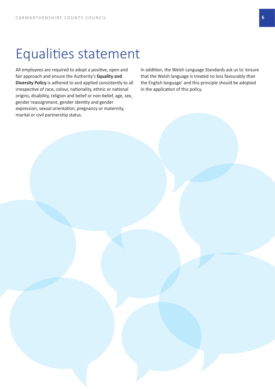### Equalities statement

All employees are required to adopt a positive, open and fair approach and ensure the Authority's **Equality and Diversity Policy** is adhered to and applied consistently to all irrespective of race, colour, nationality, ethnic or national origins, disability, religion and belief or non‐belief, age, sex, gender reassignment, gender identity and gender expression, sexual orientation, pregnancy or maternity, marital or civil partnership status.

In addition, the Welsh Language Standards ask us to 'ensure that the Welsh language is treated no less favourably than the English language' and this principle should be adopted in the application of this policy.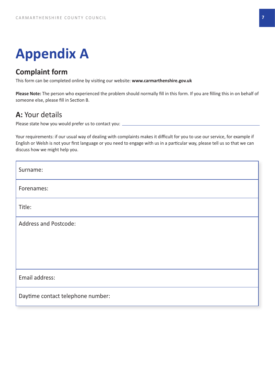# **Appendix A**

#### **Complaint form**

This form can be completed online by visiting our website: **www.carmarthenshire.gov.uk**

**Please Note:** The person who experienced the problem should normally fill in this form. If you are filling this in on behalf of someone else, please fill in Section B.

#### **A:** Your details

Please state how you would prefer us to contact you:

Your requirements: if our usual way of dealing with complaints makes it difficult for you to use our service, for example if English or Welsh is not your first language or you need to engage with us in a particular way, please tell us so that we can discuss how we might help you.

| Surname:                          |
|-----------------------------------|
| Forenames:                        |
| Title:                            |
| <b>Address and Postcode:</b>      |
|                                   |
|                                   |
| Email address:                    |
| Daytime contact telephone number: |
|                                   |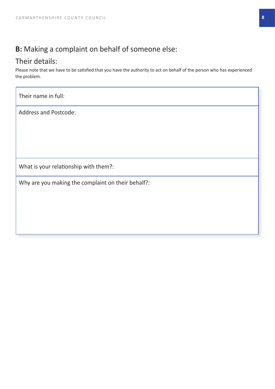#### **B:** Making a complaint on behalf of someone else:

#### Their details:

Please note that we have to be satisfied that you have the authority to act on behalf of the person who has experienced the problem.

Their name in full:

Address and Postcode:

What is your relationship with them?:

Why are you making the complaint on their behalf?: